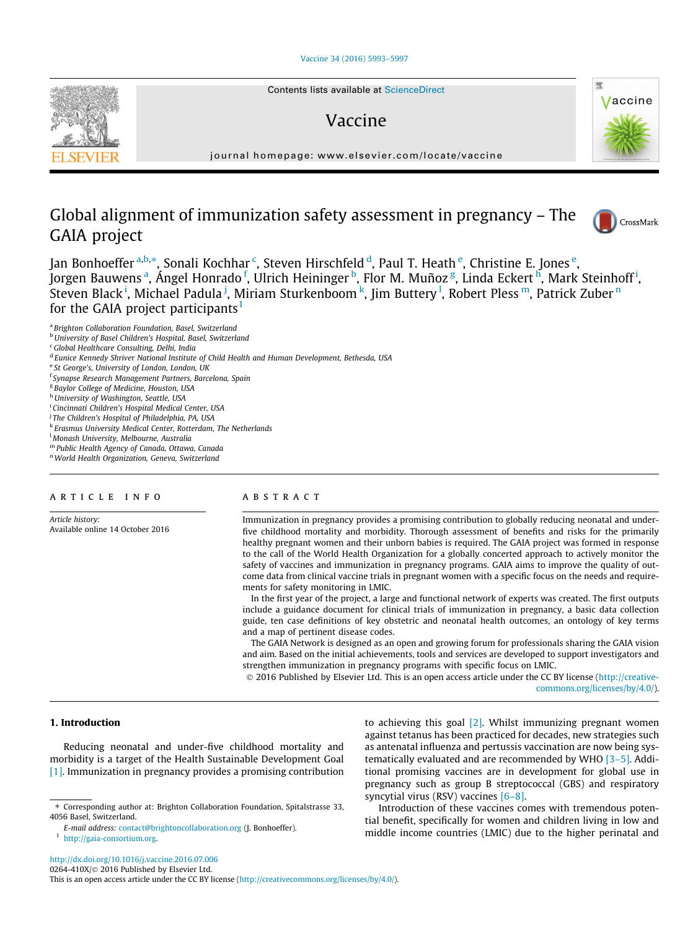#### Vaccine 34 (2016) 5993–5997



## Vaccine



journal homepage: www.elsevier.com/locate/vaccine

# Global alignment of immunization safety assessment in pregnancy – The GAIA project



Jan Bonhoeffer <sup>a,b,</sup>\*, Sonali Kochhar <sup>c</sup>, Steven Hirschfeld <sup>d</sup>, Paul T. Heath <sup>e</sup>, Christine E. Jones <sup>e</sup>, Jorgen Bauwens <sup>a</sup>, Ángel Honrado <sup>f</sup>, Ulrich Heininger <sup>b</sup>, Flor M. Muñoz <sup>g</sup>, Linda Eckert <sup>h</sup>, Mark Steinhoff <sup>i</sup>, Steven Black <sup>i</sup>, Michael Padula <sup>j</sup>, Miriam Sturkenboom <sup>k</sup>, Jim Buttery <sup>l</sup>, Robert Pless <sup>m</sup>, Patrick Zuber <sup>n</sup> for the GAIA project participants<sup>1</sup>

<sup>a</sup> Brighton Collaboration Foundation, Basel, Switzerland

<sup>d</sup> Eunice Kennedy Shriver National Institute of Child Health and Human Development, Bethesda, USA

<sup>e</sup> St George's, University of London, London, UK

f Synapse Research Management Partners, Barcelona, Spain

<sup>g</sup> Baylor College of Medicine, Houston, USA

h University of Washington, Seattle, USA

<sup>i</sup> Cincinnati Children's Hospital Medical Center, USA

<sup>i</sup> The Children's Hospital of Philadelphia, PA, USA <sup>k</sup> Erasmus University Medical Center, Rotterdam, The Netherlands

l Monash University, Melbourne, Australia

<sup>m</sup> Public Health Agency of Canada, Ottawa, Canada

n World Health Organization, Geneva, Switzerland

#### article info

Article history: Available online 14 October 2016

#### **ABSTRACT**

Immunization in pregnancy provides a promising contribution to globally reducing neonatal and underfive childhood mortality and morbidity. Thorough assessment of benefits and risks for the primarily healthy pregnant women and their unborn babies is required. The GAIA project was formed in response to the call of the World Health Organization for a globally concerted approach to actively monitor the safety of vaccines and immunization in pregnancy programs. GAIA aims to improve the quality of outcome data from clinical vaccine trials in pregnant women with a specific focus on the needs and requirements for safety monitoring in LMIC.

In the first year of the project, a large and functional network of experts was created. The first outputs include a guidance document for clinical trials of immunization in pregnancy, a basic data collection guide, ten case definitions of key obstetric and neonatal health outcomes, an ontology of key terms and a map of pertinent disease codes.

The GAIA Network is designed as an open and growing forum for professionals sharing the GAIA vision and aim. Based on the initial achievements, tools and services are developed to support investigators and strengthen immunization in pregnancy programs with specific focus on LMIC.

 2016 Published by Elsevier Ltd. This is an open access article under the CC BY license (http://creativecommons.org/licenses/by/4.0/).

## 1. Introduction

Reducing neonatal and under-five childhood mortality and morbidity is a target of the Health Sustainable Development Goal [1]. Immunization in pregnancy provides a promising contribution

http://dx.doi.org/10.1016/j.vaccine.2016.07.006

0264-410X/© 2016 Published by Elsevier Ltd.

to achieving this goal  $[2]$ . Whilst immunizing pregnant women against tetanus has been practiced for decades, new strategies such as antenatal influenza and pertussis vaccination are now being systematically evaluated and are recommended by WHO [3–5]. Additional promising vaccines are in development for global use in pregnancy such as group B streptococcal (GBS) and respiratory syncytial virus (RSV) vaccines [6–8].

Introduction of these vaccines comes with tremendous potential benefit, specifically for women and children living in low and middle income countries (LMIC) due to the higher perinatal and

**b** University of Basel Children's Hospital, Basel, Switzerland <sup>c</sup> Global Healthcare Consulting, Delhi, India

<sup>⇑</sup> Corresponding author at: Brighton Collaboration Foundation, Spitalstrasse 33, 4056 Basel, Switzerland.

E-mail address: contact@brightoncollaboration.org (J. Bonhoeffer).

<sup>1</sup> http://gaia-consortium.org.

This is an open access article under the CC BY license (http://creativecommons.org/licenses/by/4.0/).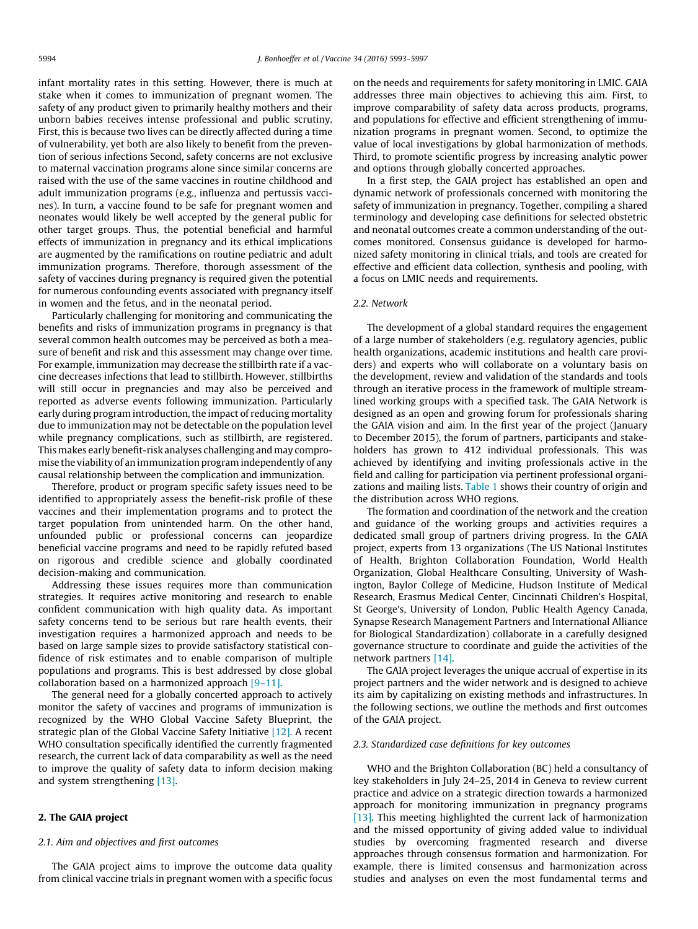infant mortality rates in this setting. However, there is much at stake when it comes to immunization of pregnant women. The safety of any product given to primarily healthy mothers and their unborn babies receives intense professional and public scrutiny. First, this is because two lives can be directly affected during a time of vulnerability, yet both are also likely to benefit from the prevention of serious infections Second, safety concerns are not exclusive to maternal vaccination programs alone since similar concerns are raised with the use of the same vaccines in routine childhood and adult immunization programs (e.g., influenza and pertussis vaccines). In turn, a vaccine found to be safe for pregnant women and neonates would likely be well accepted by the general public for other target groups. Thus, the potential beneficial and harmful effects of immunization in pregnancy and its ethical implications are augmented by the ramifications on routine pediatric and adult immunization programs. Therefore, thorough assessment of the safety of vaccines during pregnancy is required given the potential for numerous confounding events associated with pregnancy itself in women and the fetus, and in the neonatal period.

Particularly challenging for monitoring and communicating the benefits and risks of immunization programs in pregnancy is that several common health outcomes may be perceived as both a measure of benefit and risk and this assessment may change over time. For example, immunization may decrease the stillbirth rate if a vaccine decreases infections that lead to stillbirth. However, stillbirths will still occur in pregnancies and may also be perceived and reported as adverse events following immunization. Particularly early during program introduction, the impact of reducing mortality due to immunization may not be detectable on the population level while pregnancy complications, such as stillbirth, are registered. This makes early benefit-risk analyses challenging and may compromise the viability of an immunization program independently of any causal relationship between the complication and immunization.

Therefore, product or program specific safety issues need to be identified to appropriately assess the benefit-risk profile of these vaccines and their implementation programs and to protect the target population from unintended harm. On the other hand, unfounded public or professional concerns can jeopardize beneficial vaccine programs and need to be rapidly refuted based on rigorous and credible science and globally coordinated decision-making and communication.

Addressing these issues requires more than communication strategies. It requires active monitoring and research to enable confident communication with high quality data. As important safety concerns tend to be serious but rare health events, their investigation requires a harmonized approach and needs to be based on large sample sizes to provide satisfactory statistical confidence of risk estimates and to enable comparison of multiple populations and programs. This is best addressed by close global collaboration based on a harmonized approach  $[9-11]$ .

The general need for a globally concerted approach to actively monitor the safety of vaccines and programs of immunization is recognized by the WHO Global Vaccine Safety Blueprint, the strategic plan of the Global Vaccine Safety Initiative [12]. A recent WHO consultation specifically identified the currently fragmented research, the current lack of data comparability as well as the need to improve the quality of safety data to inform decision making and system strengthening [13].

## 2. The GAIA project

#### 2.1. Aim and objectives and first outcomes

The GAIA project aims to improve the outcome data quality from clinical vaccine trials in pregnant women with a specific focus

on the needs and requirements for safety monitoring in LMIC. GAIA addresses three main objectives to achieving this aim. First, to improve comparability of safety data across products, programs, and populations for effective and efficient strengthening of immunization programs in pregnant women. Second, to optimize the value of local investigations by global harmonization of methods. Third, to promote scientific progress by increasing analytic power and options through globally concerted approaches.

In a first step, the GAIA project has established an open and dynamic network of professionals concerned with monitoring the safety of immunization in pregnancy. Together, compiling a shared terminology and developing case definitions for selected obstetric and neonatal outcomes create a common understanding of the outcomes monitored. Consensus guidance is developed for harmonized safety monitoring in clinical trials, and tools are created for effective and efficient data collection, synthesis and pooling, with a focus on LMIC needs and requirements.

## 2.2. Network

The development of a global standard requires the engagement of a large number of stakeholders (e.g. regulatory agencies, public health organizations, academic institutions and health care providers) and experts who will collaborate on a voluntary basis on the development, review and validation of the standards and tools through an iterative process in the framework of multiple streamlined working groups with a specified task. The GAIA Network is designed as an open and growing forum for professionals sharing the GAIA vision and aim. In the first year of the project (January to December 2015), the forum of partners, participants and stakeholders has grown to 412 individual professionals. This was achieved by identifying and inviting professionals active in the field and calling for participation via pertinent professional organizations and mailing lists. Table 1 shows their country of origin and the distribution across WHO regions.

The formation and coordination of the network and the creation and guidance of the working groups and activities requires a dedicated small group of partners driving progress. In the GAIA project, experts from 13 organizations (The US National Institutes of Health, Brighton Collaboration Foundation, World Health Organization, Global Healthcare Consulting, University of Washington, Baylor College of Medicine, Hudson Institute of Medical Research, Erasmus Medical Center, Cincinnati Children's Hospital, St George's, University of London, Public Health Agency Canada, Synapse Research Management Partners and International Alliance for Biological Standardization) collaborate in a carefully designed governance structure to coordinate and guide the activities of the network partners [14].

The GAIA project leverages the unique accrual of expertise in its project partners and the wider network and is designed to achieve its aim by capitalizing on existing methods and infrastructures. In the following sections, we outline the methods and first outcomes of the GAIA project.

#### 2.3. Standardized case definitions for key outcomes

WHO and the Brighton Collaboration (BC) held a consultancy of key stakeholders in July 24–25, 2014 in Geneva to review current practice and advice on a strategic direction towards a harmonized approach for monitoring immunization in pregnancy programs [13]. This meeting highlighted the current lack of harmonization and the missed opportunity of giving added value to individual studies by overcoming fragmented research and diverse approaches through consensus formation and harmonization. For example, there is limited consensus and harmonization across studies and analyses on even the most fundamental terms and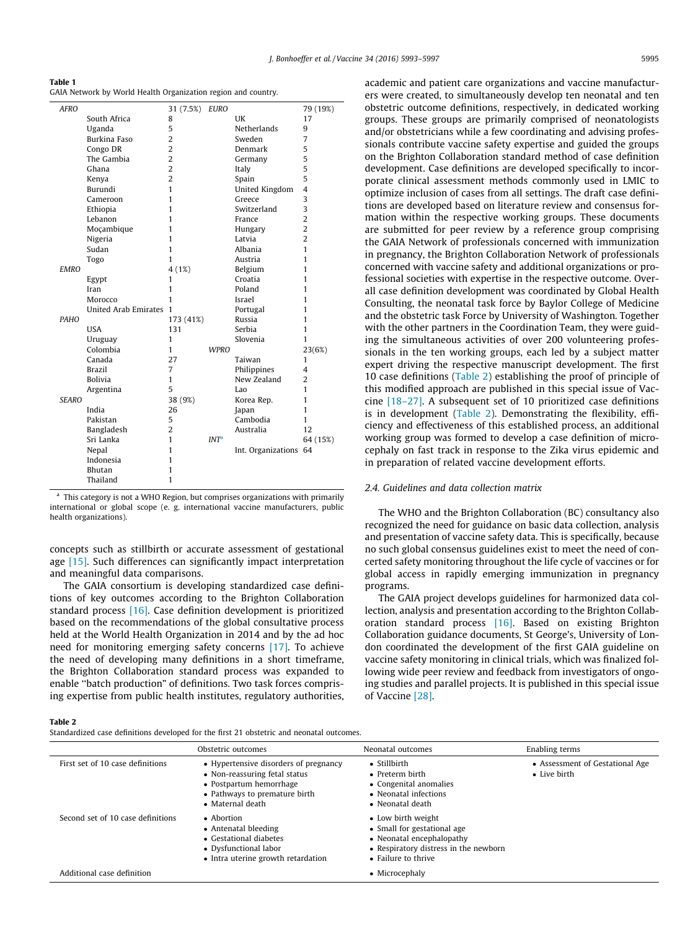| Table 1                                                       |  |
|---------------------------------------------------------------|--|
| GAIA Network by World Health Organization region and country. |  |

| AFRO<br>31 (7.5%) EURO<br>79 (19%)<br>South Africa<br>UK<br>17<br>8<br>5<br>Netherlands<br>Uganda<br>9<br>$\overline{2}$<br>Burkina Faso<br>Sweden<br>7 |
|---------------------------------------------------------------------------------------------------------------------------------------------------------|
|                                                                                                                                                         |
|                                                                                                                                                         |
|                                                                                                                                                         |
|                                                                                                                                                         |
| $\overline{2}$<br>Congo DR<br>5<br>Denmark                                                                                                              |
| $\overline{2}$<br>The Gambia<br>5<br>Germany                                                                                                            |
| $\overline{2}$<br>5<br>Ghana<br>Italy                                                                                                                   |
| $\overline{2}$<br>5<br>Spain<br>Kenya                                                                                                                   |
| $\overline{4}$<br>Burundi<br>1<br>United Kingdom                                                                                                        |
| 3<br>1<br>Cameroon<br>Greece                                                                                                                            |
| 3<br>1<br>Switzerland<br>Ethiopia                                                                                                                       |
| 2<br>Lebanon<br>1<br>France                                                                                                                             |
| 2<br>Moçambique<br>1<br>Hungary                                                                                                                         |
| 2<br>Nigeria<br>1<br>Latvia                                                                                                                             |
| Sudan<br>1<br>Albania<br>1                                                                                                                              |
| 1<br>Austria<br>1<br>Togo                                                                                                                               |
| <b>EMRO</b><br>4(1%)<br>1<br>Belgium                                                                                                                    |
| Croatia<br>1<br>1<br>Egypt                                                                                                                              |
| 1<br>Poland<br>1<br>Iran                                                                                                                                |
| 1<br>1<br>Morocco<br>Israel                                                                                                                             |
| United Arab Emirates 1<br>Portugal<br>1                                                                                                                 |
| PAHO<br>Russia<br>1<br>173 (41%)                                                                                                                        |
| <b>USA</b><br>Serbia<br>131<br>1                                                                                                                        |
| Slovenia<br>1<br>Uruguay<br>1                                                                                                                           |
| Colombia<br><b>WPRO</b><br>1<br>23(6%)                                                                                                                  |
| 27<br>Canada<br>Taiwan<br>1                                                                                                                             |
| 7<br>Philippines<br>Brazil<br>4                                                                                                                         |
| New Zealand<br>$\overline{2}$<br><b>Bolivia</b><br>$\mathbf{1}$                                                                                         |
| 5<br>Argentina<br>1<br>Lao                                                                                                                              |
| <b>SEARO</b><br>1<br>38 (9%)<br>Korea Rep.                                                                                                              |
| India<br>26<br>1<br>Japan                                                                                                                               |
| 5<br>Cambodia<br>1<br>Pakistan                                                                                                                          |
| Bangladesh<br>2<br>Australia<br>12                                                                                                                      |
| INT <sup>a</sup><br>Sri Lanka<br>1<br>64 (15%)                                                                                                          |
| 1<br>Nepal<br>Int. Organizations 64                                                                                                                     |
| Indonesia<br>1                                                                                                                                          |
| <b>Bhutan</b><br>1                                                                                                                                      |
| Thailand<br>$\mathbf{1}$                                                                                                                                |

 $\frac{a}{a}$  This category is not a WHO Region, but comprises organizations with primarily international or global scope (e. g. international vaccine manufacturers, public health organizations).

concepts such as stillbirth or accurate assessment of gestational age [15]. Such differences can significantly impact interpretation and meaningful data comparisons.

The GAIA consortium is developing standardized case definitions of key outcomes according to the Brighton Collaboration standard process [16]. Case definition development is prioritized based on the recommendations of the global consultative process held at the World Health Organization in 2014 and by the ad hoc need for monitoring emerging safety concerns [17]. To achieve the need of developing many definitions in a short timeframe, the Brighton Collaboration standard process was expanded to enable ''batch production" of definitions. Two task forces comprising expertise from public health institutes, regulatory authorities, academic and patient care organizations and vaccine manufacturers were created, to simultaneously develop ten neonatal and ten obstetric outcome definitions, respectively, in dedicated working groups. These groups are primarily comprised of neonatologists and/or obstetricians while a few coordinating and advising professionals contribute vaccine safety expertise and guided the groups on the Brighton Collaboration standard method of case definition development. Case definitions are developed specifically to incorporate clinical assessment methods commonly used in LMIC to optimize inclusion of cases from all settings. The draft case definitions are developed based on literature review and consensus formation within the respective working groups. These documents are submitted for peer review by a reference group comprising the GAIA Network of professionals concerned with immunization in pregnancy, the Brighton Collaboration Network of professionals concerned with vaccine safety and additional organizations or professional societies with expertise in the respective outcome. Overall case definition development was coordinated by Global Health Consulting, the neonatal task force by Baylor College of Medicine and the obstetric task Force by University of Washington. Together with the other partners in the Coordination Team, they were guiding the simultaneous activities of over 200 volunteering professionals in the ten working groups, each led by a subject matter expert driving the respective manuscript development. The first 10 case definitions (Table 2) establishing the proof of principle of this modified approach are published in this special issue of Vaccine [18–27]. A subsequent set of 10 prioritized case definitions is in development (Table 2). Demonstrating the flexibility, efficiency and effectiveness of this established process, an additional working group was formed to develop a case definition of microcephaly on fast track in response to the Zika virus epidemic and in preparation of related vaccine development efforts.

#### 2.4. Guidelines and data collection matrix

The WHO and the Brighton Collaboration (BC) consultancy also recognized the need for guidance on basic data collection, analysis and presentation of vaccine safety data. This is specifically, because no such global consensus guidelines exist to meet the need of concerted safety monitoring throughout the life cycle of vaccines or for global access in rapidly emerging immunization in pregnancy programs.

The GAIA project develops guidelines for harmonized data collection, analysis and presentation according to the Brighton Collaboration standard process [16]. Based on existing Brighton Collaboration guidance documents, St George's, University of London coordinated the development of the first GAIA guideline on vaccine safety monitoring in clinical trials, which was finalized following wide peer review and feedback from investigators of ongoing studies and parallel projects. It is published in this special issue of Vaccine [28].

| . . |  |
|-----|--|
|-----|--|

Standardized case definitions developed for the first 21 obstetric and neonatal outcomes.

|                                   | Obstetric outcomes                                                                                                                                     | Neonatal outcomes                                                                                                                              | Enabling terms                                  |
|-----------------------------------|--------------------------------------------------------------------------------------------------------------------------------------------------------|------------------------------------------------------------------------------------------------------------------------------------------------|-------------------------------------------------|
| First set of 10 case definitions  | • Hypertensive disorders of pregnancy<br>• Non-reassuring fetal status<br>• Postpartum hemorrhage<br>• Pathways to premature birth<br>• Maternal death | • Stillbirth<br>• Preterm birth<br>• Congenital anomalies<br>• Neonatal infections<br>• Neonatal death                                         | • Assessment of Gestational Age<br>• Live birth |
| Second set of 10 case definitions | • Abortion<br>• Antenatal bleeding<br>• Gestational diabetes<br>• Dysfunctional labor<br>• Intra uterine growth retardation                            | • Low birth weight<br>• Small for gestational age<br>• Neonatal encephalopathy<br>• Respiratory distress in the newborn<br>• Failure to thrive |                                                 |
| Additional case definition        |                                                                                                                                                        | • Microcephaly                                                                                                                                 |                                                 |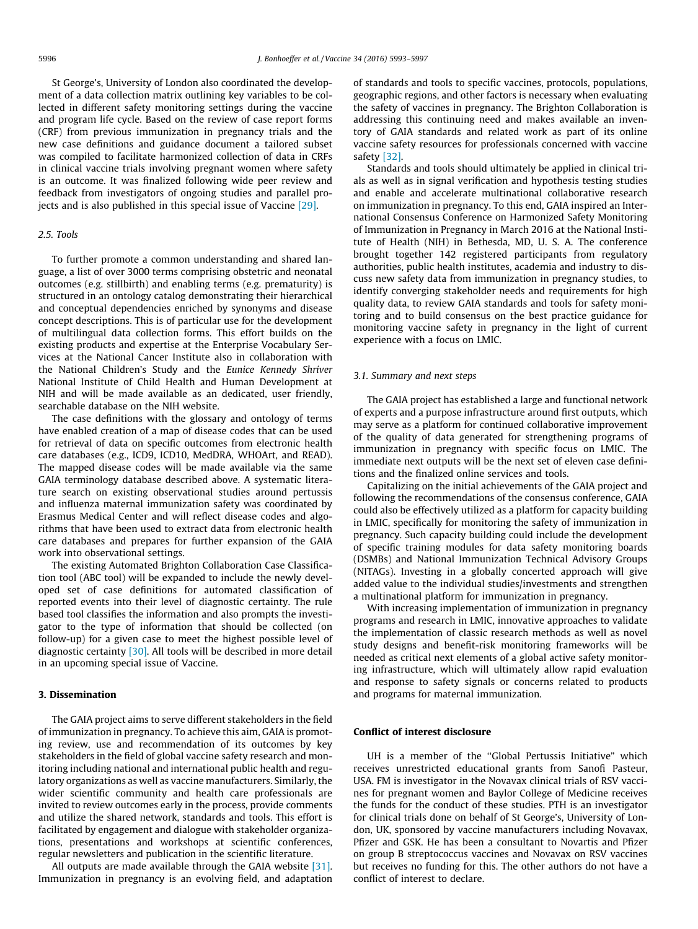St George's, University of London also coordinated the development of a data collection matrix outlining key variables to be collected in different safety monitoring settings during the vaccine and program life cycle. Based on the review of case report forms (CRF) from previous immunization in pregnancy trials and the new case definitions and guidance document a tailored subset was compiled to facilitate harmonized collection of data in CRFs in clinical vaccine trials involving pregnant women where safety is an outcome. It was finalized following wide peer review and feedback from investigators of ongoing studies and parallel projects and is also published in this special issue of Vaccine [29].

## 2.5. Tools

To further promote a common understanding and shared language, a list of over 3000 terms comprising obstetric and neonatal outcomes (e.g. stillbirth) and enabling terms (e.g. prematurity) is structured in an ontology catalog demonstrating their hierarchical and conceptual dependencies enriched by synonyms and disease concept descriptions. This is of particular use for the development of multilingual data collection forms. This effort builds on the existing products and expertise at the Enterprise Vocabulary Services at the National Cancer Institute also in collaboration with the National Children's Study and the Eunice Kennedy Shriver National Institute of Child Health and Human Development at NIH and will be made available as an dedicated, user friendly, searchable database on the NIH website.

The case definitions with the glossary and ontology of terms have enabled creation of a map of disease codes that can be used for retrieval of data on specific outcomes from electronic health care databases (e.g., ICD9, ICD10, MedDRA, WHOArt, and READ). The mapped disease codes will be made available via the same GAIA terminology database described above. A systematic literature search on existing observational studies around pertussis and influenza maternal immunization safety was coordinated by Erasmus Medical Center and will reflect disease codes and algorithms that have been used to extract data from electronic health care databases and prepares for further expansion of the GAIA work into observational settings.

The existing Automated Brighton Collaboration Case Classification tool (ABC tool) will be expanded to include the newly developed set of case definitions for automated classification of reported events into their level of diagnostic certainty. The rule based tool classifies the information and also prompts the investigator to the type of information that should be collected (on follow-up) for a given case to meet the highest possible level of diagnostic certainty [30]. All tools will be described in more detail in an upcoming special issue of Vaccine.

#### 3. Dissemination

The GAIA project aims to serve different stakeholders in the field of immunization in pregnancy. To achieve this aim, GAIA is promoting review, use and recommendation of its outcomes by key stakeholders in the field of global vaccine safety research and monitoring including national and international public health and regulatory organizations as well as vaccine manufacturers. Similarly, the wider scientific community and health care professionals are invited to review outcomes early in the process, provide comments and utilize the shared network, standards and tools. This effort is facilitated by engagement and dialogue with stakeholder organizations, presentations and workshops at scientific conferences, regular newsletters and publication in the scientific literature.

All outputs are made available through the GAIA website [31]. Immunization in pregnancy is an evolving field, and adaptation of standards and tools to specific vaccines, protocols, populations, geographic regions, and other factors is necessary when evaluating the safety of vaccines in pregnancy. The Brighton Collaboration is addressing this continuing need and makes available an inventory of GAIA standards and related work as part of its online vaccine safety resources for professionals concerned with vaccine safety [32].

Standards and tools should ultimately be applied in clinical trials as well as in signal verification and hypothesis testing studies and enable and accelerate multinational collaborative research on immunization in pregnancy. To this end, GAIA inspired an International Consensus Conference on Harmonized Safety Monitoring of Immunization in Pregnancy in March 2016 at the National Institute of Health (NIH) in Bethesda, MD, U. S. A. The conference brought together 142 registered participants from regulatory authorities, public health institutes, academia and industry to discuss new safety data from immunization in pregnancy studies, to identify converging stakeholder needs and requirements for high quality data, to review GAIA standards and tools for safety monitoring and to build consensus on the best practice guidance for monitoring vaccine safety in pregnancy in the light of current experience with a focus on LMIC.

#### 3.1. Summary and next steps

The GAIA project has established a large and functional network of experts and a purpose infrastructure around first outputs, which may serve as a platform for continued collaborative improvement of the quality of data generated for strengthening programs of immunization in pregnancy with specific focus on LMIC. The immediate next outputs will be the next set of eleven case definitions and the finalized online services and tools.

Capitalizing on the initial achievements of the GAIA project and following the recommendations of the consensus conference, GAIA could also be effectively utilized as a platform for capacity building in LMIC, specifically for monitoring the safety of immunization in pregnancy. Such capacity building could include the development of specific training modules for data safety monitoring boards (DSMBs) and National Immunization Technical Advisory Groups (NITAGs). Investing in a globally concerted approach will give added value to the individual studies/investments and strengthen a multinational platform for immunization in pregnancy.

With increasing implementation of immunization in pregnancy programs and research in LMIC, innovative approaches to validate the implementation of classic research methods as well as novel study designs and benefit-risk monitoring frameworks will be needed as critical next elements of a global active safety monitoring infrastructure, which will ultimately allow rapid evaluation and response to safety signals or concerns related to products and programs for maternal immunization.

## Conflict of interest disclosure

UH is a member of the ''Global Pertussis Initiative" which receives unrestricted educational grants from Sanofi Pasteur, USA. FM is investigator in the Novavax clinical trials of RSV vaccines for pregnant women and Baylor College of Medicine receives the funds for the conduct of these studies. PTH is an investigator for clinical trials done on behalf of St George's, University of London, UK, sponsored by vaccine manufacturers including Novavax, Pfizer and GSK. He has been a consultant to Novartis and Pfizer on group B streptococcus vaccines and Novavax on RSV vaccines but receives no funding for this. The other authors do not have a conflict of interest to declare.